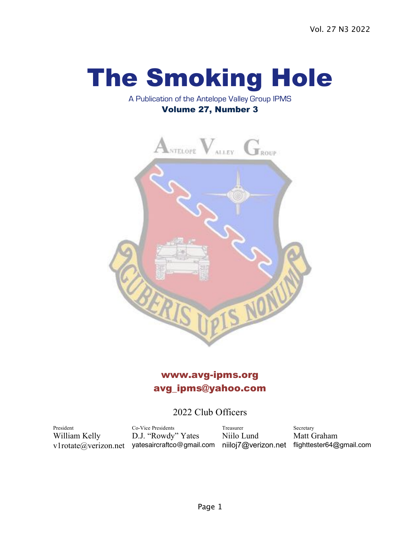# The Smoking Hole

## A Publication of the Antelope Valley Group IPMS Volume 27, Number 3



# www.avg-ipms.org avg\_ipms@yahoo.com

## 2022 Club Officers

President Co-Vice Presidents Treasurer Secretary William Kelly D.J. "Rowdy" Yates Niilo Lund Matt Graham v1rotate@verizon.net yatesaircraftco@gmail.com niiloj7@verizon.net flighttester64@gmail.com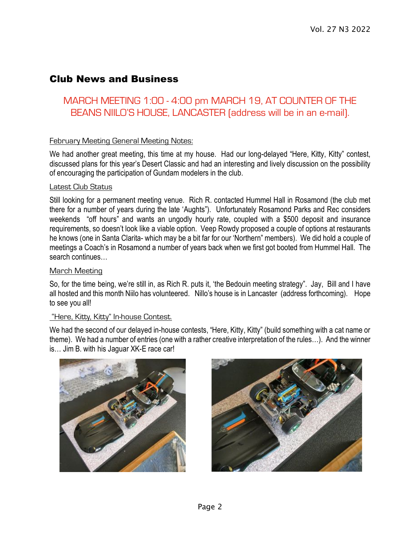## Club News and Business

## MARCH MEETING 1:00 - 4:00 pm MARCH 19, AT COUNTER OF THE BEANS NIILO'S HOUSE, LANCASTER (address will be in an e-mail).

### February Meeting General Meeting Notes:

We had another great meeting, this time at my house. Had our long-delayed "Here, Kitty, Kitty" contest, discussed plans for this year's Desert Classic and had an interesting and lively discussion on the possibility of encouraging the participation of Gundam modelers in the club.

#### Latest Club Status

Still looking for a permanent meeting venue. Rich R. contacted Hummel Hall in Rosamond (the club met there for a number of years during the late 'Aughts"). Unfortunately Rosamond Parks and Rec considers weekends "off hours" and wants an ungodly hourly rate, coupled with a \$500 deposit and insurance requirements, so doesn't look like a viable option. Veep Rowdy proposed a couple of options at restaurants he knows (one in Santa Clarita- which may be a bit far for our 'Northern" members). We did hold a couple of meetings a Coach's in Rosamond a number of years back when we first got booted from Hummel Hall. The search continues…

#### March Meeting

So, for the time being, we're still in, as Rich R. puts it, 'the Bedouin meeting strategy". Jay, Bill and I have all hosted and this month Niilo has volunteered. Nillo's house is in Lancaster (address forthcoming). Hope to see you all!

#### "Here, Kitty, Kitty" In-house Contest.

We had the second of our delayed in-house contests, "Here, Kitty, Kitty" (build something with a cat name or theme). We had a number of entries (one with a rather creative interpretation of the rules…). And the winner is… Jim B. with his Jaguar XK-E race car!



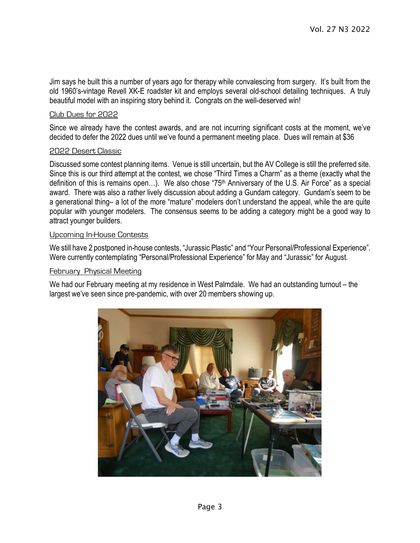Jim says he built this a number of years ago for therapy while convalescing from surgery. It's built from the old 1960's-vintage Revell XK-E roadster kit and employs several old-school detailing techniques. A truly beautiful model with an inspiring story behind it. Congrats on the well-deserved win!

#### Club Dues for 2022

Since we already have the contest awards, and are not incurring significant costs at the moment, we've decided to defer the 2022 dues until we've found a permanent meeting place. Dues will remain at \$36

#### 2022 Desert Classic

Discussed some contest planning items. Venue is still uncertain, but the AV College is still the preferred site. Since this is our third attempt at the contest, we chose "Third Times a Charm" as a theme (exactly what the definition of this is remains open...). We also chose "75<sup>th</sup> Anniversary of the U.S. Air Force" as a special award. There was also a rather lively discussion about adding a Gundam category. Gundam's seem to be a generational thing– a lot of the more "mature" modelers don't understand the appeal, while the are quite popular with younger modelers. The consensus seems to be adding a category might be a good way to attract younger builders.

#### Upcoming In-House Contests

We still have 2 postponed in-house contests, "Jurassic Plastic" and "Your Personal/Professional Experience". Were currently contemplating "Personal/Professional Experience" for May and "Jurassic" for August.

#### February Physical Meeting

We had our February meeting at my residence in West Palmdale. We had an outstanding turnout – the largest we've seen since pre-pandemic, with over 20 members showing up.

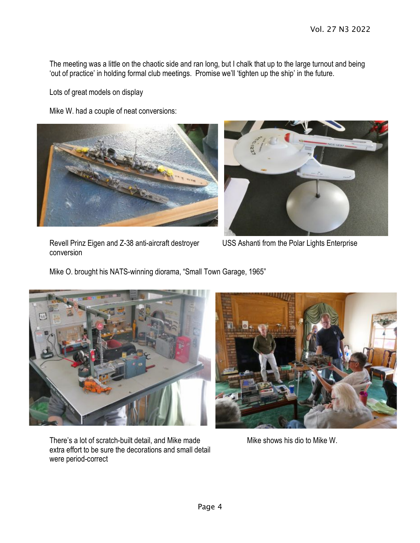The meeting was a little on the chaotic side and ran long, but I chalk that up to the large turnout and being 'out of practice' in holding formal club meetings. Promise we'll 'tighten up the ship' in the future.

Lots of great models on display

Mike W. had a couple of neat conversions:





Revell Prinz Eigen and Z-38 anti-aircraft destroyer USS Ashanti from the Polar Lights Enterprise conversion

Mike O. brought his NATS-winning diorama, "Small Town Garage, 1965"



There's a lot of scratch-built detail, and Mike made Mike shows his dio to Mike W. extra effort to be sure the decorations and small detail were period-correct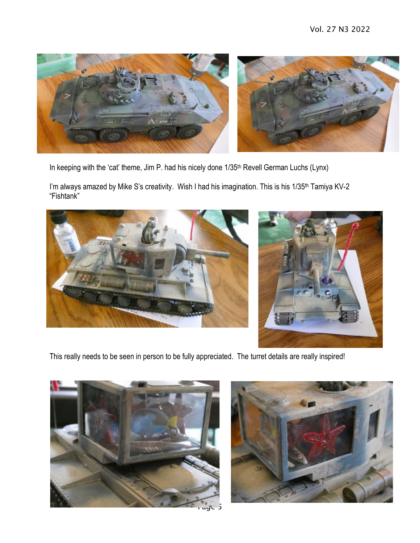

In keeping with the 'cat' theme, Jim P. had his nicely done 1/35<sup>th</sup> Revell German Luchs (Lynx)

I'm always amazed by Mike S's creativity. Wish I had his imagination. This is his 1/35<sup>th</sup> Tamiya KV-2 "Fishtank"





This really needs to be seen in person to be fully appreciated. The turret details are really inspired!





Page 5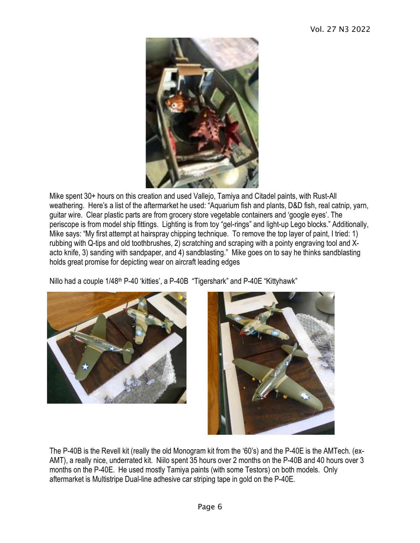

Mike spent 30+ hours on this creation and used Vallejo, Tamiya and Citadel paints, with Rust-All weathering. Here's a list of the aftermarket he used: "Aquarium fish and plants, D&D fish, real catnip, yarn, guitar wire. Clear plastic parts are from grocery store vegetable containers and 'google eyes'. The periscope is from model ship fittings. Lighting is from toy "gel-rings" and light-up Lego blocks." Additionally, Mike says: "My first attempt at hairspray chipping technique. To remove the top layer of paint, I tried: 1) rubbing with Q-tips and old toothbrushes, 2) scratching and scraping with a pointy engraving tool and Xacto knife, 3) sanding with sandpaper, and 4) sandblasting." Mike goes on to say he thinks sandblasting holds great promise for depicting wear on aircraft leading edges

Nillo had a couple 1/48<sup>th</sup> P-40 'kitties', a P-40B "Tigershark" and P-40E "Kittyhawk"





The P-40B is the Revell kit (really the old Monogram kit from the '60's) and the P-40E is the AMTech. (ex-AMT), a really nice, underrated kit. Niilo spent 35 hours over 2 months on the P-40B and 40 hours over 3 months on the P-40E. He used mostly Tamiya paints (with some Testors) on both models. Only aftermarket is Multistripe Dual-line adhesive car striping tape in gold on the P-40E.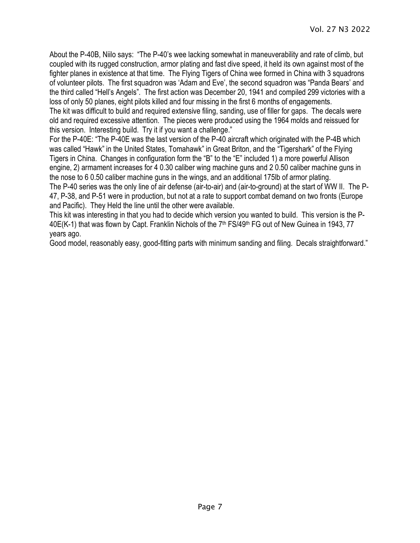About the P-40B, Niilo says: "The P-40's wee lacking somewhat in maneuverability and rate of climb, but coupled with its rugged construction, armor plating and fast dive speed, it held its own against most of the fighter planes in existence at that time. The Flying Tigers of China wee formed in China with 3 squadrons of volunteer pilots. The first squadron was 'Adam and Eve', the second squadron was "Panda Bears' and the third called "Hell's Angels". The first action was December 20, 1941 and compiled 299 victories with a loss of only 50 planes, eight pilots killed and four missing in the first 6 months of engagements. The kit was difficult to build and required extensive filing, sanding, use of filler for gaps. The decals were

old and required excessive attention. The pieces were produced using the 1964 molds and reissued for this version. Interesting build. Try it if you want a challenge."

For the P-40E: "The P-40E was the last version of the P-40 aircraft which originated with the P-4B which was called "Hawk" in the United States, Tomahawk" in Great Briton, and the "Tigershark" of the Flying Tigers in China. Changes in configuration form the "B" to the "E" included 1) a more powerful Allison engine, 2) armament increases for 4 0.30 caliber wing machine guns and 2 0.50 caliber machine guns in the nose to 6 0.50 caliber machine guns in the wings, and an additional 175lb of armor plating.

The P-40 series was the only line of air defense (air-to-air) and (air-to-ground) at the start of WW II. The P-47, P-38, and P-51 were in production, but not at a rate to support combat demand on two fronts (Europe and Pacific). They Held the line until the other were available.

This kit was interesting in that you had to decide which version you wanted to build. This version is the P-40E(K-1) that was flown by Capt. Franklin Nichols of the 7<sup>th</sup> FS/49<sup>th</sup> FG out of New Guinea in 1943, 77 years ago.

Good model, reasonably easy, good-fitting parts with minimum sanding and filing. Decals straightforward."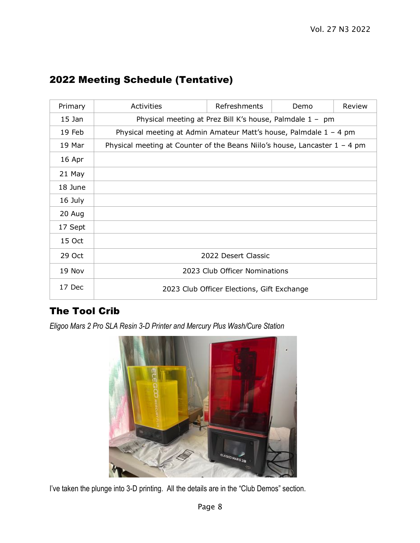| Primary  | Activities                                                                   | Refreshments                               | Demo | Review |  |
|----------|------------------------------------------------------------------------------|--------------------------------------------|------|--------|--|
| $15$ Jan | Physical meeting at Prez Bill K's house, Palmdale 1 - pm                     |                                            |      |        |  |
| 19 Feb   | Physical meeting at Admin Amateur Matt's house, Palmdale $1 - 4$ pm          |                                            |      |        |  |
| 19 Mar   | Physical meeting at Counter of the Beans Niilo's house, Lancaster $1 - 4$ pm |                                            |      |        |  |
| 16 Apr   |                                                                              |                                            |      |        |  |
| 21 May   |                                                                              |                                            |      |        |  |
| 18 June  |                                                                              |                                            |      |        |  |
| 16 July  |                                                                              |                                            |      |        |  |
| 20 Aug   |                                                                              |                                            |      |        |  |
| 17 Sept  |                                                                              |                                            |      |        |  |
| 15 Oct   |                                                                              |                                            |      |        |  |
| 29 Oct   | 2022 Desert Classic                                                          |                                            |      |        |  |
| 19 Nov   |                                                                              | 2023 Club Officer Nominations              |      |        |  |
| 17 Dec   |                                                                              | 2023 Club Officer Elections, Gift Exchange |      |        |  |

# 2022 Meeting Schedule (Tentative)

# The Tool Crib

*Eligoo Mars 2 Pro SLA Resin 3-D Printer and Mercury Plus Wash/Cure Station*



I've taken the plunge into 3-D printing. All the details are in the "Club Demos" section.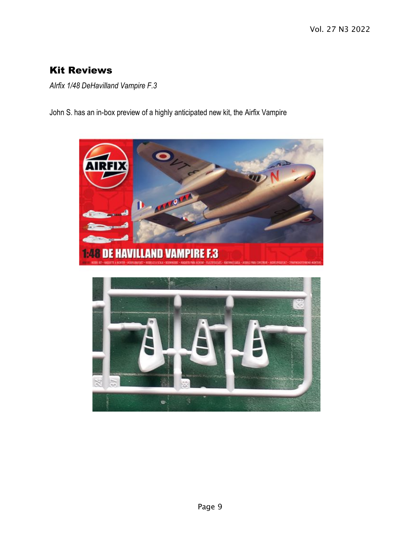# Kit Reviews

*AIrfix 1/48 DeHavilland Vampire F.3*

John S. has an in-box preview of a highly anticipated new kit, the Airfix Vampire

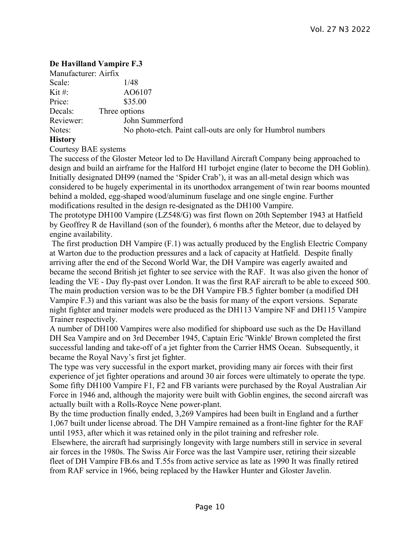## **De Havilland Vampire F.3**

| Manufacturer: Airfix                   |                                                             |
|----------------------------------------|-------------------------------------------------------------|
| Scale:                                 | 1/48                                                        |
| Kit #:                                 | AO6107                                                      |
| Price:                                 | \$35.00                                                     |
| Decals:                                | Three options                                               |
| Reviewer:                              | John Summerford                                             |
| Notes:                                 | No photo-etch. Paint call-outs are only for Humbrol numbers |
| $\mathbf{r}$ $\mathbf{r}$ $\mathbf{r}$ |                                                             |

## **History**

Courtesy BAE systems

The success of the Gloster Meteor led to De Havilland Aircraft Company being approached to design and build an airframe for the Halford H1 turbojet engine (later to become the DH Goblin). Initially designated DH99 (named the 'Spider Crab'), it was an all-metal design which was considered to be hugely experimental in its unorthodox arrangement of twin rear booms mounted behind a molded, egg-shaped wood/aluminum fuselage and one single engine. Further modifications resulted in the design re-designated as the DH100 Vampire.

The prototype DH100 Vampire (LZ548/G) was first flown on 20th September 1943 at Hatfield by Geoffrey R de Havilland (son of the founder), 6 months after the Meteor, due to delayed by engine availability.

The first production DH Vampire (F.1) was actually produced by the English Electric Company at Warton due to the production pressures and a lack of capacity at Hatfield. Despite finally arriving after the end of the Second World War, the DH Vampire was eagerly awaited and became the second British jet fighter to see service with the RAF. It was also given the honor of leading the VE - Day fly-past over London. It was the first RAF aircraft to be able to exceed 500. The main production version was to be the DH Vampire FB.5 fighter bomber (a modified DH Vampire F.3) and this variant was also be the basis for many of the export versions. Separate night fighter and trainer models were produced as the DH113 Vampire NF and DH115 Vampire Trainer respectively.

A number of DH100 Vampires were also modified for shipboard use such as the De Havilland DH Sea Vampire and on 3rd December 1945, Captain Eric 'Winkle' Brown completed the first successful landing and take-off of a jet fighter from the Carrier HMS Ocean. Subsequently, it became the Royal Navy's first jet fighter.

The type was very successful in the export market, providing many air forces with their first experience of jet fighter operations and around 30 air forces were ultimately to operate the type. Some fifty DH100 Vampire F1, F2 and FB variants were purchased by the Royal Australian Air Force in 1946 and, although the majority were built with Goblin engines, the second aircraft was actually built with a Rolls-Royce Nene power-plant.

By the time production finally ended, 3,269 Vampires had been built in England and a further 1,067 built under license abroad. The DH Vampire remained as a front-line fighter for the RAF until 1953, after which it was retained only in the pilot training and refresher role.

Elsewhere, the aircraft had surprisingly longevity with large numbers still in service in several air forces in the 1980s. The Swiss Air Force was the last Vampire user, retiring their sizeable fleet of DH Vampire FB.6s and T.55s from active service as late as 1990 It was finally retired from RAF service in 1966, being replaced by the Hawker Hunter and Gloster Javelin.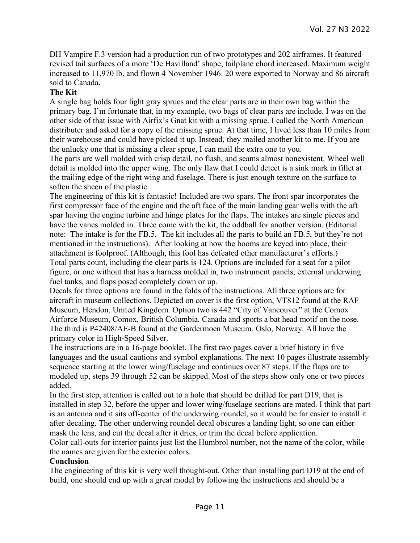DH Vampire F.3 version had a production run of two prototypes and 202 airframes. It featured revised tail surfaces of a more 'De Havilland' shape; tailplane chord increased. Maximum weight increased to 11,970 lb. and flown 4 November 1946. 20 were exported to Norway and 86 aircraft sold to Canada.

#### **The Kit**

A single bag holds four light gray sprues and the clear parts are in their own bag within the primary bag. I'm fortunate that, in my example, two bags of clear parts are include. I was on the other side of that issue with Airfix's Gnat kit with a missing sprue. I called the North American distributer and asked for a copy of the missing sprue. At that time, I lived less than 10 miles from their warehouse and could have picked it up. Instead, they mailed another kit to me. If you are the unlucky one that is missing a clear sprue, I can mail the extra one to you.

The parts are well molded with crisp detail, no flash, and seams almost nonexistent. Wheel well detail is molded into the upper wing. The only flaw that I could detect is a sink mark in fillet at the trailing edge of the right wing and fuselage. There is just enough texture on the surface to soften the sheen of the plastic.

The engineering of this kit is fantastic! Included are two spars. The front spar incorporates the first compressor face of the engine and the aft face of the main landing gear wells with the aft spar having the engine turbine and hinge plates for the flaps. The intakes are single pieces and have the vanes molded in. Three come with the kit, the oddball for another version. (Editorial note: The intake is for the FB.5. The kit includes all the parts to build an FB.5, but they're not mentioned in the instructions). After looking at how the booms are keyed into place, their attachment is foolproof. (Although, this fool has defeated other manufacturer's efforts.) Total parts count, including the clear parts is 124. Options are included for a seat for a pilot figure, or one without that has a harness molded in, two instrument panels, external underwing fuel tanks, and flaps posed completely down or up.

Decals for three options are found in the folds of the instructions. All three options are for aircraft in museum collections. Depicted on cover is the first option, VT812 found at the RAF Museum, Hendon, United Kingdom. Option two is 442 "City of Vancouver" at the Comox Airforce Museum, Comox, British Columbia, Canada and sports a bat head motif on the nose. The third is P42408/AE-B found at the Gardermoen Museum, Oslo, Norway. All have the primary color in High-Speed Silver.

The instructions are in a 16-page booklet. The first two pages cover a brief history in five languages and the usual cautions and symbol explanations. The next 10 pages illustrate assembly sequence starting at the lower wing/fuselage and continues over 87 steps. If the flaps are to modeled up, steps 39 through 52 can be skipped. Most of the steps show only one or two pieces added.

In the first step, attention is called out to a hole that should be drilled for part D19, that is installed in step 32, before the upper and lower wing/fuselage sections are mated. I think that part is an antenna and it sits off-center of the underwing roundel, so it would be far easier to install it after decaling. The other underwing roundel decal obscures a landing light, so one can either mask the lens, and cut the decal after it dries, or trim the decal before application.

Color call-outs for interior paints just list the Humbrol number, not the name of the color, while the names are given for the exterior colors.

## **Conclusion**

The engineering of this kit is very well thought-out. Other than installing part D19 at the end of build, one should end up with a great model by following the instructions and should be a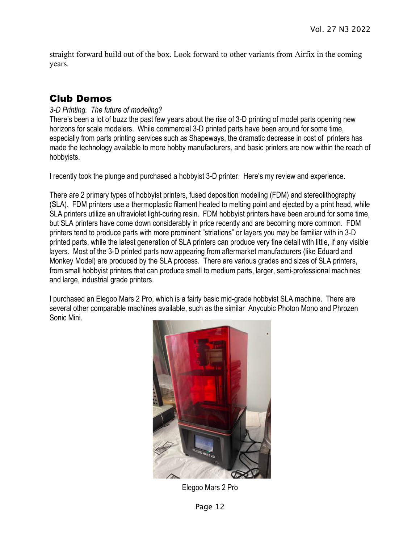straight forward build out of the box. Look forward to other variants from Airfix in the coming years.

## Club Demos

## *3-D Printing. The future of modeling?*

There's been a lot of buzz the past few years about the rise of 3-D printing of model parts opening new horizons for scale modelers. While commercial 3-D printed parts have been around for some time, especially from parts printing services such as Shapeways, the dramatic decrease in cost of printers has made the technology available to more hobby manufacturers, and basic printers are now within the reach of hobbyists.

I recently took the plunge and purchased a hobbyist 3-D printer. Here's my review and experience.

There are 2 primary types of hobbyist printers, fused deposition modeling (FDM) and stereolithography (SLA). FDM printers use a thermoplastic filament heated to melting point and ejected by a print head, while SLA printers utilize an ultraviolet light-curing resin. FDM hobbyist printers have been around for some time, but SLA printers have come down considerably in price recently and are becoming more common. FDM printers tend to produce parts with more prominent "striations" or layers you may be familiar with in 3-D printed parts, while the latest generation of SLA printers can produce very fine detail with little, if any visible layers. Most of the 3-D printed parts now appearing from aftermarket manufacturers (like Eduard and Monkey Model) are produced by the SLA process. There are various grades and sizes of SLA printers, from small hobbyist printers that can produce small to medium parts, larger, semi-professional machines and large, industrial grade printers.

I purchased an Elegoo Mars 2 Pro, which is a fairly basic mid-grade hobbyist SLA machine. There are several other comparable machines available, such as the similar Anycubic Photon Mono and Phrozen Sonic Mini.



Elegoo Mars 2 Pro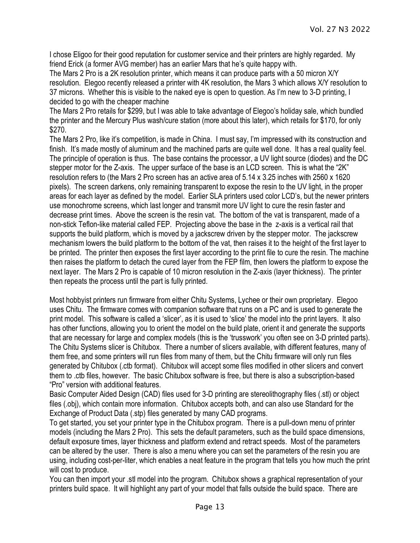I chose Eligoo for their good reputation for customer service and their printers are highly regarded. My friend Erick (a former AVG member) has an earlier Mars that he's quite happy with.

The Mars 2 Pro is a 2K resolution printer, which means it can produce parts with a 50 micron X/Y resolution. Elegoo recently released a printer with 4K resolution, the Mars 3 which allows X/Y resolution to 37 microns. Whether this is visible to the naked eye is open to question. As I'm new to 3-D printing, I decided to go with the cheaper machine

The Mars 2 Pro retails for \$299, but I was able to take advantage of Elegoo's holiday sale, which bundled the printer and the Mercury Plus wash/cure station (more about this later), which retails for \$170, for only \$270.

The Mars 2 Pro, like it's competition, is made in China. I must say, I'm impressed with its construction and finish. It's made mostly of aluminum and the machined parts are quite well done. It has a real quality feel. The principle of operation is thus. The base contains the processor, a UV light source (diodes) and the DC stepper motor for the Z-axis. The upper surface of the base is an LCD screen. This is what the "2K" resolution refers to (the Mars 2 Pro screen has an active area of 5.14 x 3.25 inches with 2560 x 1620 pixels). The screen darkens, only remaining transparent to expose the resin to the UV light, in the proper areas for each layer as defined by the model. Earlier SLA printers used color LCD's, but the newer printers use monochrome screens, which last longer and transmit more UV light to cure the resin faster and decrease print times. Above the screen is the resin vat. The bottom of the vat is transparent, made of a non-stick Teflon-like material called FEP. Projecting above the base in the z-axis is a vertical rail that supports the build platform, which is moved by a jackscrew driven by the stepper motor. The jackscrew mechanism lowers the build platform to the bottom of the vat, then raises it to the height of the first layer to be printed. The printer then exposes the first layer according to the print file to cure the resin. The machine then raises the platform to detach the cured layer from the FEP film, then lowers the platform to expose the next layer. The Mars 2 Pro is capable of 10 micron resolution in the Z-axis (layer thickness). The printer then repeats the process until the part is fully printed.

Most hobbyist printers run firmware from either Chitu Systems, Lychee or their own proprietary. Elegoo uses Chitu. The firmware comes with companion software that runs on a PC and is used to generate the print model. This software is called a 'slicer', as it is used to 'slice' the model into the print layers. It also has other functions, allowing you to orient the model on the build plate, orient it and generate the supports that are necessary for large and complex models (this is the 'trusswork' you often see on 3-D printed parts). The Chitu Systems slicer is Chitubox. There a number of slicers available, with different features, many of them free, and some printers will run files from many of them, but the Chitu firmware will only run files generated by Chitubox (.ctb format). Chitubox will accept some files modified in other slicers and convert them to .ctb files, however. The basic Chitubox software is free, but there is also a subscription-based "Pro" version with additional features.

Basic Computer Aided Design (CAD) files used for 3-D printing are stereolithography files (.stl) or object files (.obj), which contain more information. Chitubox accepts both, and can also use Standard for the Exchange of Product Data (.stp) files generated by many CAD programs.

To get started, you set your printer type in the Chitubox program. There is a pull-down menu of printer models (including the Mars 2 Pro). This sets the default parameters, such as the build space dimensions, default exposure times, layer thickness and platform extend and retract speeds. Most of the parameters can be altered by the user. There is also a menu where you can set the parameters of the resin you are using, including cost-per-liter, which enables a neat feature in the program that tells you how much the print will cost to produce.

You can then import your .stl model into the program. Chitubox shows a graphical representation of your printers build space. It will highlight any part of your model that falls outside the build space. There are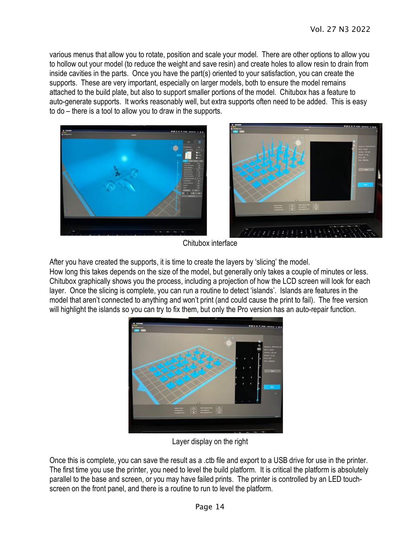various menus that allow you to rotate, position and scale your model. There are other options to allow you to hollow out your model (to reduce the weight and save resin) and create holes to allow resin to drain from inside cavities in the parts. Once you have the part(s) oriented to your satisfaction, you can create the supports. These are very important, especially on larger models, both to ensure the model remains attached to the build plate, but also to support smaller portions of the model. Chitubox has a feature to auto-generate supports. It works reasonably well, but extra supports often need to be added. This is easy to do – there is a tool to allow you to draw in the supports.



Chitubox interface

After you have created the supports, it is time to create the layers by 'slicing' the model.

How long this takes depends on the size of the model, but generally only takes a couple of minutes or less. Chitubox graphically shows you the process, including a projection of how the LCD screen will look for each layer. Once the slicing is complete, you can run a routine to detect 'islands'. Islands are features in the model that aren't connected to anything and won't print (and could cause the print to fail). The free version will highlight the islands so you can try to fix them, but only the Pro version has an auto-repair function.



Layer display on the right

Once this is complete, you can save the result as a .ctb file and export to a USB drive for use in the printer. The first time you use the printer, you need to level the build platform. It is critical the platform is absolutely parallel to the base and screen, or you may have failed prints. The printer is controlled by an LED touchscreen on the front panel, and there is a routine to run to level the platform.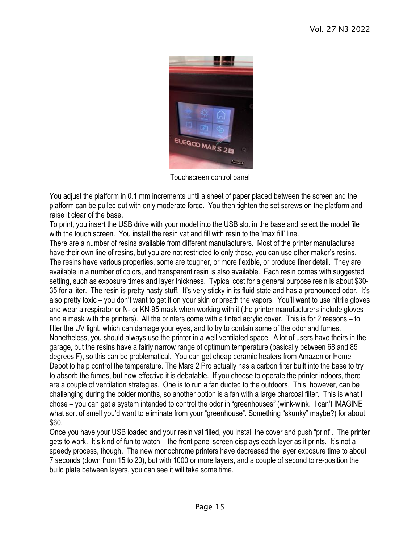

Touchscreen control panel

You adjust the platform in 0.1 mm increments until a sheet of paper placed between the screen and the platform can be pulled out with only moderate force. You then tighten the set screws on the platform and raise it clear of the base.

To print, you insert the USB drive with your model into the USB slot in the base and select the model file with the touch screen. You install the resin vat and fill with resin to the 'max fill' line.

There are a number of resins available from different manufacturers. Most of the printer manufactures have their own line of resins, but you are not restricted to only those, you can use other maker's resins. The resins have various properties, some are tougher, or more flexible, or produce finer detail. They are available in a number of colors, and transparent resin is also available. Each resin comes with suggested setting, such as exposure times and layer thickness. Typical cost for a general purpose resin is about \$30- 35 for a liter. The resin is pretty nasty stuff. It's very sticky in its fluid state and has a pronounced odor. It's also pretty toxic – you don't want to get it on your skin or breath the vapors. You'll want to use nitrile gloves and wear a respirator or N- or KN-95 mask when working with it (the printer manufacturers include gloves and a mask with the printers). All the printers come with a tinted acrylic cover. This is for 2 reasons – to filter the UV light, which can damage your eyes, and to try to contain some of the odor and fumes. Nonetheless, you should always use the printer in a well ventilated space. A lot of users have theirs in the garage, but the resins have a fairly narrow range of optimum temperature (basically between 68 and 85 degrees F), so this can be problematical. You can get cheap ceramic heaters from Amazon or Home Depot to help control the temperature. The Mars 2 Pro actually has a carbon filter built into the base to try to absorb the fumes, but how effective it is debatable. If you choose to operate the printer indoors, there are a couple of ventilation strategies. One is to run a fan ducted to the outdoors. This, however, can be challenging during the colder months, so another option is a fan with a large charcoal filter. This is what I chose – you can get a system intended to control the odor in "greenhouses" (wink-wink. I can't IMAGINE what sort of smell you'd want to eliminate from your "greenhouse". Something "skunky" maybe?) for about \$60.

Once you have your USB loaded and your resin vat filled, you install the cover and push "print". The printer gets to work. It's kind of fun to watch – the front panel screen displays each layer as it prints. It's not a speedy process, though. The new monochrome printers have decreased the layer exposure time to about 7 seconds (down from 15 to 20), but with 1000 or more layers, and a couple of second to re-position the build plate between layers, you can see it will take some time.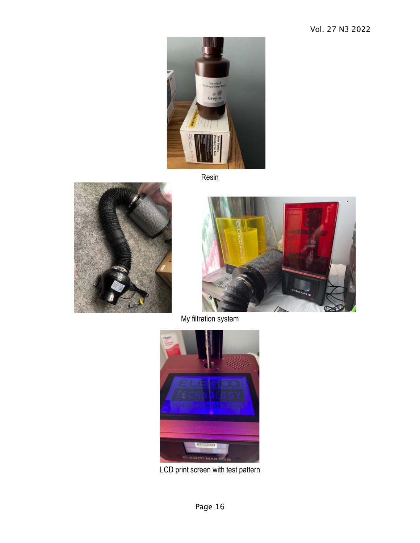

Resin





My filtration system



LCD print screen with test pattern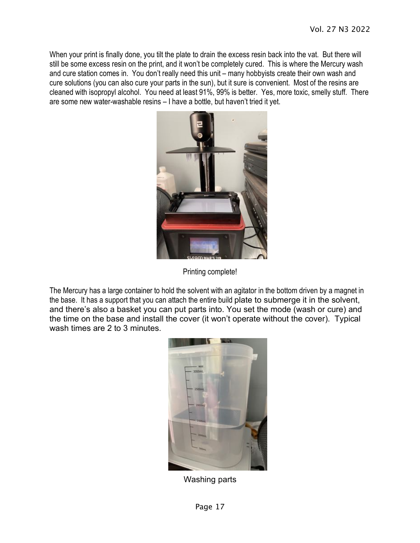When your print is finally done, you tilt the plate to drain the excess resin back into the vat. But there will still be some excess resin on the print, and it won't be completely cured. This is where the Mercury wash and cure station comes in. You don't really need this unit – many hobbyists create their own wash and cure solutions (you can also cure your parts in the sun), but it sure is convenient. Most of the resins are cleaned with isopropyl alcohol. You need at least 91%, 99% is better. Yes, more toxic, smelly stuff. There are some new water-washable resins – I have a bottle, but haven't tried it yet.



Printing complete!

The Mercury has a large container to hold the solvent with an agitator in the bottom driven by a magnet in the base. It has a support that you can attach the entire build plate to submerge it in the solvent, and there's also a basket you can put parts into. You set the mode (wash or cure) and the time on the base and install the cover (it won't operate without the cover). Typical wash times are 2 to 3 minutes.



Washing parts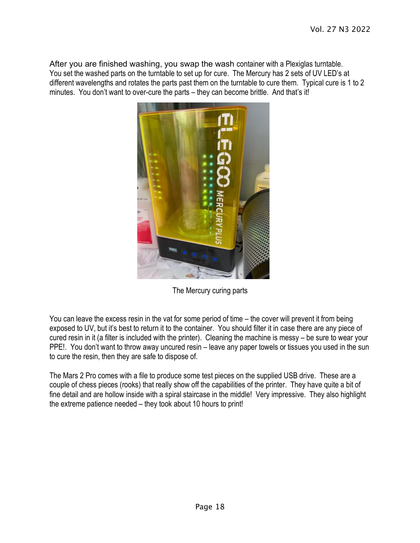After you are finished washing, you swap the wash container with a Plexiglas turntable. You set the washed parts on the turntable to set up for cure. The Mercury has 2 sets of UV LED's at different wavelengths and rotates the parts past them on the turntable to cure them. Typical cure is 1 to 2 minutes. You don't want to over-cure the parts – they can become brittle. And that's it!



The Mercury curing parts

You can leave the excess resin in the vat for some period of time – the cover will prevent it from being exposed to UV, but it's best to return it to the container. You should filter it in case there are any piece of cured resin in it (a filter is included with the printer). Cleaning the machine is messy – be sure to wear your PPE!. You don't want to throw away uncured resin – leave any paper towels or tissues you used in the sun to cure the resin, then they are safe to dispose of.

The Mars 2 Pro comes with a file to produce some test pieces on the supplied USB drive. These are a couple of chess pieces (rooks) that really show off the capabilities of the printer. They have quite a bit of fine detail and are hollow inside with a spiral staircase in the middle! Very impressive. They also highlight the extreme patience needed – they took about 10 hours to print!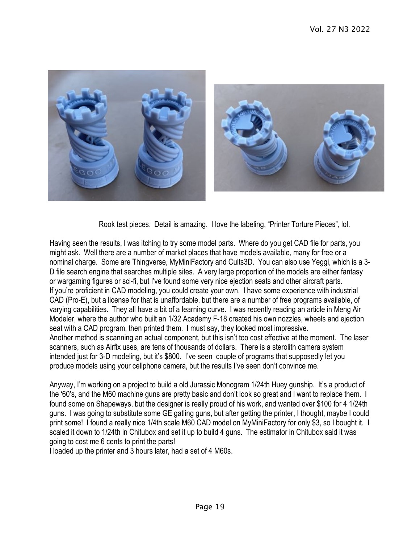

Rook test pieces. Detail is amazing. I love the labeling, "Printer Torture Pieces", lol.

Having seen the results, I was itching to try some model parts. Where do you get CAD file for parts, you might ask. Well there are a number of market places that have models available, many for free or a nominal charge. Some are Thingverse, MyMiniFactory and Cults3D. You can also use Yeggi, which is a 3- D file search engine that searches multiple sites. A very large proportion of the models are either fantasy or wargaming figures or sci-fi, but I've found some very nice ejection seats and other aircraft parts. If you're proficient in CAD modeling, you could create your own. I have some experience with industrial CAD (Pro-E), but a license for that is unaffordable, but there are a number of free programs available, of varying capabilities. They all have a bit of a learning curve. I was recently reading an article in Meng Air Modeler, where the author who built an 1/32 Academy F-18 created his own nozzles, wheels and ejection seat with a CAD program, then printed them. I must say, they looked most impressive. Another method is scanning an actual component, but this isn't too cost effective at the moment. The laser scanners, such as Airfix uses, are tens of thousands of dollars. There is a sterolith camera system intended just for 3-D modeling, but it's \$800. I've seen couple of programs that supposedly let you produce models using your cellphone camera, but the results I've seen don't convince me.

Anyway, I'm working on a project to build a old Jurassic Monogram 1/24th Huey gunship. It's a product of the '60's, and the M60 machine guns are pretty basic and don't look so great and I want to replace them. I found some on Shapeways, but the designer is really proud of his work, and wanted over \$100 for 4 1/24th guns. I was going to substitute some GE gatling guns, but after getting the printer, I thought, maybe I could print some! I found a really nice 1/4th scale M60 CAD model on MyMiniFactory for only \$3, so I bought it. I scaled it down to 1/24th in Chitubox and set it up to build 4 guns. The estimator in Chitubox said it was going to cost me 6 cents to print the parts!

I loaded up the printer and 3 hours later, had a set of 4 M60s.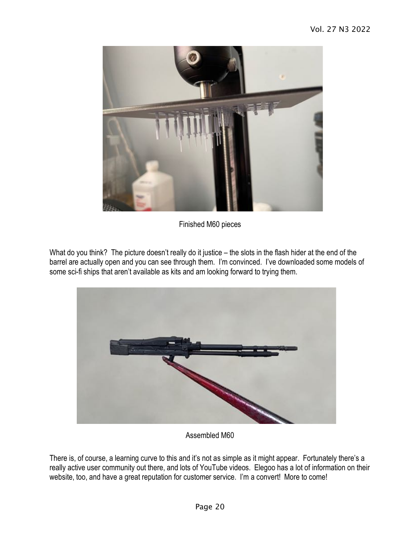

Finished M60 pieces

What do you think? The picture doesn't really do it justice – the slots in the flash hider at the end of the barrel are actually open and you can see through them. I'm convinced. I've downloaded some models of some sci-fi ships that aren't available as kits and am looking forward to trying them.



Assembled M60

There is, of course, a learning curve to this and it's not as simple as it might appear. Fortunately there's a really active user community out there, and lots of YouTube videos. Elegoo has a lot of information on their website, too, and have a great reputation for customer service. I'm a convert! More to come!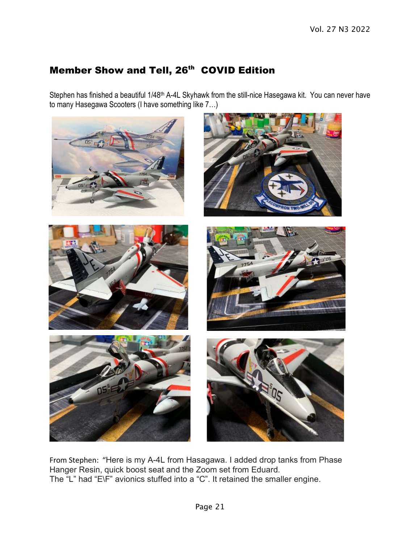# Member Show and Tell, 26<sup>th</sup> COVID Edition

Stephen has finished a beautiful 1/48<sup>th</sup> A-4L Skyhawk from the still-nice Hasegawa kit. You can never have to many Hasegawa Scooters (I have something like 7…)



From Stephen: "Here is my A-4L from Hasagawa. I added drop tanks from Phase Hanger Resin, quick boost seat and the Zoom set from Eduard. The "L" had "E\F" avionics stuffed into a "C". It retained the smaller engine.